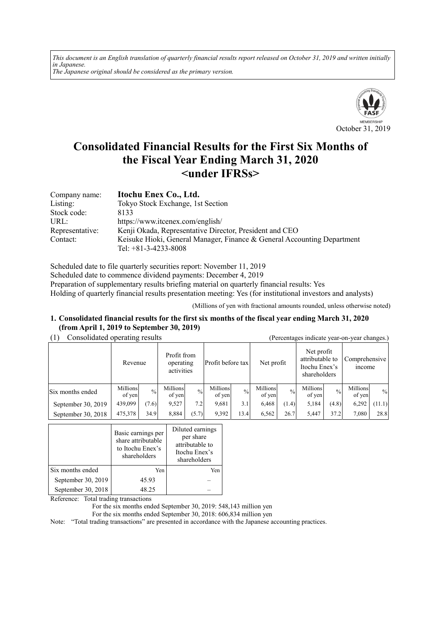*This document is an English translation of quarterly financial results report released on October 31, 2019 and written initially in Japanese. The Japanese original should be considered as the primary version.*



# **Consolidated Financial Results for the First Six Months of the Fiscal Year Ending March 31, 2020 <under IFRSs>**

| Company name:   | Itochu Enex Co., Ltd.                                                   |
|-----------------|-------------------------------------------------------------------------|
| Listing:        | Tokyo Stock Exchange, 1st Section                                       |
| Stock code:     | 8133                                                                    |
| URL:            | https://www.itcenex.com/english/                                        |
| Representative: | Kenji Okada, Representative Director, President and CEO                 |
| Contact:        | Keisuke Hioki, General Manager, Finance & General Accounting Department |
|                 | Tel: $+81-3-4233-8008$                                                  |

Scheduled date to file quarterly securities report: November 11, 2019 Scheduled date to commence dividend payments: December 4, 2019 Preparation of supplementary results briefing material on quarterly financial results: Yes Holding of quarterly financial results presentation meeting: Yes (for institutional investors and analysts)

(Millions of yen with fractional amounts rounded, unless otherwise noted)

#### **1. Consolidated financial results for the first six months of the fiscal year ending March 31, 2020 (from April 1, 2019 to September 30, 2019)**

| (1) | Consolidated operating results |
|-----|--------------------------------|
|     |                                |

| Consolidated operating results |                    |               |                                        |               | (Percentages indicate year-on-year changes.) |               |                    |               |                                                                |               |                                |        |
|--------------------------------|--------------------|---------------|----------------------------------------|---------------|----------------------------------------------|---------------|--------------------|---------------|----------------------------------------------------------------|---------------|--------------------------------|--------|
|                                | Revenue            |               | Profit from<br>operating<br>activities |               | Profit before tax                            |               | Net profit         |               | Net profit<br>attributable to<br>Itochu Enex's<br>shareholders |               | Comprehensive<br><i>n</i> come |        |
| Six months ended               | Millions<br>of yen | $\frac{0}{0}$ | Millions<br>of yen                     | $\frac{0}{0}$ | Millions<br>of yen                           | $\frac{0}{0}$ | Millions<br>of yen | $\frac{0}{0}$ | Millions<br>of yen                                             | $\frac{0}{0}$ | Millions<br>of yen             | $\%$   |
| September 30, 2019             | 439,099            | (7.6)         | 9.527                                  | 7.2           | 9.681                                        | 3.1           | 6,468              | (1.4)         | 5,184                                                          | (4.8)         | 6,292                          | (11.1) |
| September 30, 2018             | 475,378            | 34.9          | 8,884                                  | (5.7)         | 9,392                                        | 13.4          | 6,562              | 26.7          | 5,447                                                          | 37.2          | 7,080                          | 28.8   |

|                    | Basic earnings per<br>share attributable<br>to Itochu Enex's<br>shareholders | Diluted earnings<br>per share<br>attributable to<br>Itochu Enex's<br>shareholders |
|--------------------|------------------------------------------------------------------------------|-----------------------------------------------------------------------------------|
| Six months ended   | Yen                                                                          | Yen                                                                               |
| September 30, 2019 | 45.93                                                                        |                                                                                   |
| September 30, 2018 | 48.25                                                                        |                                                                                   |

Reference: Total trading transactions

For the six months ended September 30, 2019: 548,143 million yen

For the six months ended September 30, 2018: 606,834 million yen

Note: "Total trading transactions" are presented in accordance with the Japanese accounting practices.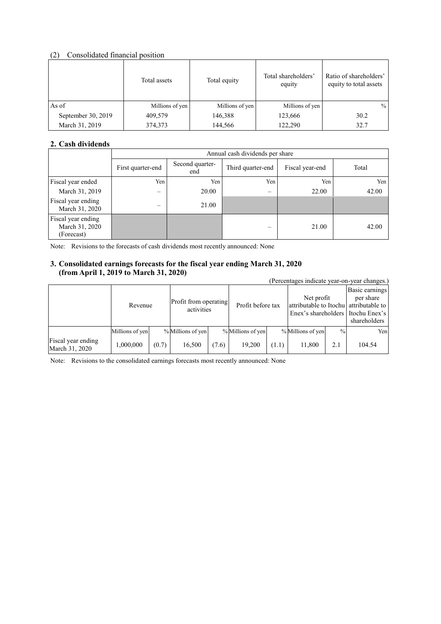# (2) Consolidated financial position

|                    | Total assets    | Total equity    | Total shareholders'<br>equity | Ratio of shareholders'<br>equity to total assets |
|--------------------|-----------------|-----------------|-------------------------------|--------------------------------------------------|
| As of              | Millions of yen | Millions of yen | Millions of yen               | $\%$                                             |
| September 30, 2019 | 409,579         | 146,388         | 123,666                       | 30.2                                             |
| March 31, 2019     | 374,373         | 144,566         | 122,290                       | 32.7                                             |

# **2. Cash dividends**

|                                                    |                   | Annual cash dividends per share |                          |                 |       |  |  |
|----------------------------------------------------|-------------------|---------------------------------|--------------------------|-----------------|-------|--|--|
|                                                    | First quarter-end | Second quarter-<br>end          | Third quarter-end        | Fiscal year-end | Total |  |  |
| Fiscal year ended                                  | Yen               | Yen                             | Yen                      | Yen             | Yen   |  |  |
| March 31, 2019                                     | —                 | 20.00                           | $\overline{\phantom{m}}$ | 22.00           | 42.00 |  |  |
| Fiscal year ending<br>March 31, 2020               | $\equiv$          | 21.00                           |                          |                 |       |  |  |
| Fiscal year ending<br>March 31, 2020<br>(Forecast) |                   |                                 | –                        | 21.00           | 42.00 |  |  |

Note: Revisions to the forecasts of cash dividends most recently announced: None

# **3. Consolidated earnings forecasts for the fiscal year ending March 31, 2020 (from April 1, 2019 to March 31, 2020)**

| $11 \text{ cm}$ $1 \text{ s}$ $1 \text{ m}$ $1 \text{ s}$ $2 \text{ v}$ $1 \text{ s}$ $1 \text{ m}$ $1 \text{ s}$ $1 \text{ s}$ $2 \text{ v}$ |                 |       |                                     |       |                   |       |                                                                                             |               | (Percentages indicate year-on-year changes.) |
|-----------------------------------------------------------------------------------------------------------------------------------------------|-----------------|-------|-------------------------------------|-------|-------------------|-------|---------------------------------------------------------------------------------------------|---------------|----------------------------------------------|
|                                                                                                                                               | Revenue         |       | Profit from operating<br>activities |       | Profit before tax |       | Net profit<br>attributable to Itochu attributable to<br>Enex's shareholders I Itochu Enex's |               | Basic earnings<br>per share<br>shareholders  |
|                                                                                                                                               | Millions of yen |       | % Millions of yen                   |       | % Millions of yen |       | % Millions of yen                                                                           | $\frac{0}{0}$ | Yen                                          |
| Fiscal year ending<br>March 31, 2020                                                                                                          | 1,000,000       | (0.7) | 16,500                              | (7.6) | 19.200            | (1.1) | 11,800                                                                                      | 2.1           | 104.54                                       |

Note: Revisions to the consolidated earnings forecasts most recently announced: None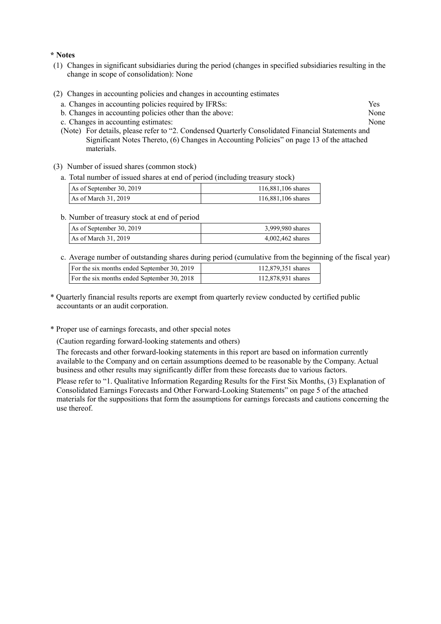#### **\* Notes**

- (1) Changes in significant subsidiaries during the period (changes in specified subsidiaries resulting in the change in scope of consolidation): None
- (2) Changes in accounting policies and changes in accounting estimates
	- a. Changes in accounting policies required by IFRSs: Yes
	- b. Changes in accounting policies other than the above: None
	- c. Changes in accounting estimates: None
	- (Note) For details, please refer to "2. Condensed Quarterly Consolidated Financial Statements and Significant Notes Thereto, (6) Changes in Accounting Policies" on page 13 of the attached materials.
- (3) Number of issued shares (common stock)
	- a. Total number of issued shares at end of period (including treasury stock)

| As of September 30, 2019 | 116,881,106 shares |  |  |
|--------------------------|--------------------|--|--|
| As of March 31, 2019     | 116,881,106 shares |  |  |

b. Number of treasury stock at end of period

| As of September 30, 2019 | 3,999,980 shares |
|--------------------------|------------------|
| As of March $31, 2019$   | 4,002,462 shares |

c. Average number of outstanding shares during period (cumulative from the beginning of the fiscal year)

| For the six months ended September 30, 2019 | 112,879,351 shares |
|---------------------------------------------|--------------------|
| For the six months ended September 30, 2018 | 112,878,931 shares |
|                                             |                    |

- \* Quarterly financial results reports are exempt from quarterly review conducted by certified public accountants or an audit corporation.
- \* Proper use of earnings forecasts, and other special notes

(Caution regarding forward-looking statements and others)

The forecasts and other forward-looking statements in this report are based on information currently available to the Company and on certain assumptions deemed to be reasonable by the Company. Actual business and other results may significantly differ from these forecasts due to various factors.

Please refer to "1. Qualitative Information Regarding Results for the First Six Months, (3) Explanation of Consolidated Earnings Forecasts and Other Forward-Looking Statements" on page 5 of the attached materials for the suppositions that form the assumptions for earnings forecasts and cautions concerning the use thereof.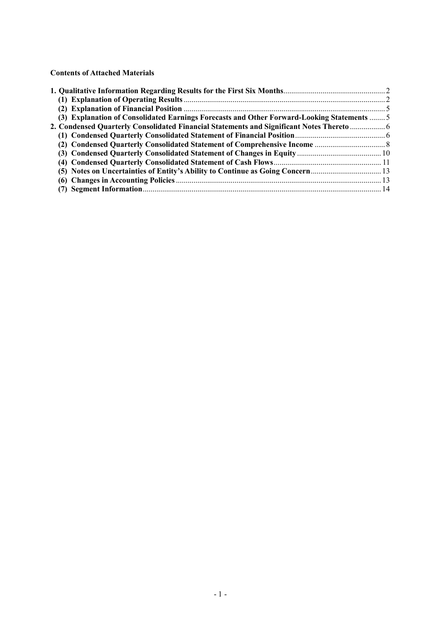**Contents of Attached Materials** 

| (3) Explanation of Consolidated Earnings Forecasts and Other Forward-Looking Statements  5 |  |
|--------------------------------------------------------------------------------------------|--|
| 2. Condensed Quarterly Consolidated Financial Statements and Significant Notes Thereto  6  |  |
|                                                                                            |  |
|                                                                                            |  |
|                                                                                            |  |
|                                                                                            |  |
|                                                                                            |  |
|                                                                                            |  |
|                                                                                            |  |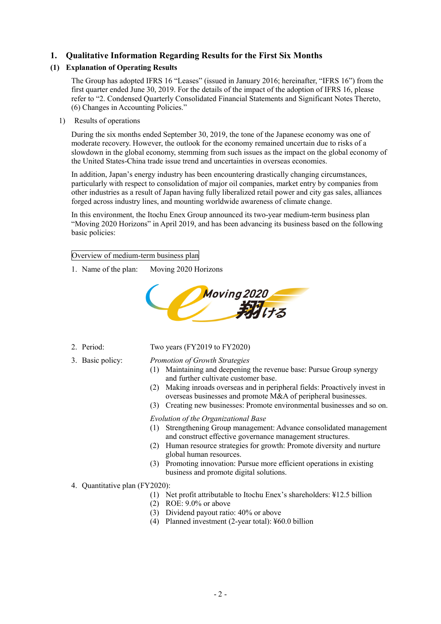# **1. Qualitative Information Regarding Results for the First Six Months**

# **(1) Explanation of Operating Results**

The Group has adopted IFRS 16 "Leases" (issued in January 2016; hereinafter, "IFRS 16") from the first quarter ended June 30, 2019. For the details of the impact of the adoption of IFRS 16, please refer to "2. Condensed Quarterly Consolidated Financial Statements and Significant Notes Thereto, (6) Changes in Accounting Policies."

1) Results of operations

During the six months ended September 30, 2019, the tone of the Japanese economy was one of moderate recovery. However, the outlook for the economy remained uncertain due to risks of a slowdown in the global economy, stemming from such issues as the impact on the global economy of the United States-China trade issue trend and uncertainties in overseas economies.

In addition, Japan's energy industry has been encountering drastically changing circumstances, particularly with respect to consolidation of major oil companies, market entry by companies from other industries as a result of Japan having fully liberalized retail power and city gas sales, alliances forged across industry lines, and mounting worldwide awareness of climate change.

In this environment, the Itochu Enex Group announced its two-year medium-term business plan "Moving 2020 Horizons" in April 2019, and has been advancing its business based on the following basic policies:

Overview of medium-term business plan

1. Name of the plan: Moving 2020 Horizons



- 2. Period: Two years (FY2019 to FY2020)
	-

3. Basic policy: *Promotion of Growth Strategies*

- (1) Maintaining and deepening the revenue base: Pursue Group synergy and further cultivate customer base.
- (2) Making inroads overseas and in peripheral fields: Proactively invest in overseas businesses and promote M&A of peripheral businesses.
- (3) Creating new businesses: Promote environmental businesses and so on.

*Evolution of the Organizational Base*

- (1) Strengthening Group management: Advance consolidated management and construct effective governance management structures.
- (2) Human resource strategies for growth: Promote diversity and nurture global human resources.
- (3) Promoting innovation: Pursue more efficient operations in existing business and promote digital solutions.
- 4. Quantitative plan (FY2020):
	- (1) Net profit attributable to Itochu Enex's shareholders: ¥12.5 billion
	- (2) ROE: 9.0% or above
	- (3) Dividend payout ratio: 40% or above
	- (4) Planned investment (2-year total): ¥60.0 billion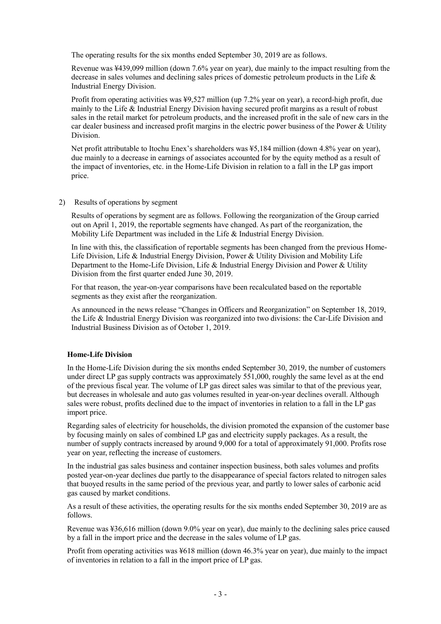The operating results for the six months ended September 30, 2019 are as follows.

Revenue was ¥439,099 million (down 7.6% year on year), due mainly to the impact resulting from the decrease in sales volumes and declining sales prices of domestic petroleum products in the Life & Industrial Energy Division.

Profit from operating activities was ¥9,527 million (up 7.2% year on year), a record-high profit, due mainly to the Life & Industrial Energy Division having secured profit margins as a result of robust sales in the retail market for petroleum products, and the increased profit in the sale of new cars in the car dealer business and increased profit margins in the electric power business of the Power & Utility Division.

Net profit attributable to Itochu Enex's shareholders was ¥5,184 million (down 4.8% year on year), due mainly to a decrease in earnings of associates accounted for by the equity method as a result of the impact of inventories, etc. in the Home-Life Division in relation to a fall in the LP gas import price.

2) Results of operations by segment

Results of operations by segment are as follows. Following the reorganization of the Group carried out on April 1, 2019, the reportable segments have changed. As part of the reorganization, the Mobility Life Department was included in the Life & Industrial Energy Division.

In line with this, the classification of reportable segments has been changed from the previous Home-Life Division, Life & Industrial Energy Division, Power & Utility Division and Mobility Life Department to the Home-Life Division, Life & Industrial Energy Division and Power & Utility Division from the first quarter ended June 30, 2019.

For that reason, the year-on-year comparisons have been recalculated based on the reportable segments as they exist after the reorganization.

As announced in the news release "Changes in Officers and Reorganization" on September 18, 2019, the Life & Industrial Energy Division was reorganized into two divisions: the Car-Life Division and Industrial Business Division as of October 1, 2019.

### **Home-Life Division**

In the Home-Life Division during the six months ended September 30, 2019, the number of customers under direct LP gas supply contracts was approximately 551,000, roughly the same level as at the end of the previous fiscal year. The volume of LP gas direct sales was similar to that of the previous year, but decreases in wholesale and auto gas volumes resulted in year-on-year declines overall. Although sales were robust, profits declined due to the impact of inventories in relation to a fall in the LP gas import price.

Regarding sales of electricity for households, the division promoted the expansion of the customer base by focusing mainly on sales of combined LP gas and electricity supply packages. As a result, the number of supply contracts increased by around 9,000 for a total of approximately 91,000. Profits rose year on year, reflecting the increase of customers.

In the industrial gas sales business and container inspection business, both sales volumes and profits posted year-on-year declines due partly to the disappearance of special factors related to nitrogen sales that buoyed results in the same period of the previous year, and partly to lower sales of carbonic acid gas caused by market conditions.

As a result of these activities, the operating results for the six months ended September 30, 2019 are as follows.

Revenue was ¥36,616 million (down 9.0% year on year), due mainly to the declining sales price caused by a fall in the import price and the decrease in the sales volume of LP gas.

Profit from operating activities was ¥618 million (down 46.3% year on year), due mainly to the impact of inventories in relation to a fall in the import price of LP gas.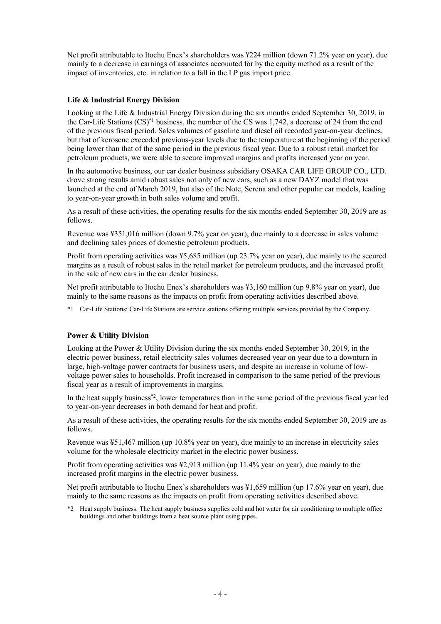Net profit attributable to Itochu Enex's shareholders was ¥224 million (down 71.2% year on year), due mainly to a decrease in earnings of associates accounted for by the equity method as a result of the impact of inventories, etc. in relation to a fall in the LP gas import price.

# **Life & Industrial Energy Division**

Looking at the Life & Industrial Energy Division during the six months ended September 30, 2019, in the Car-Life Stations (CS)\*1 business, the number of the CS was 1,742, a decrease of 24 from the end of the previous fiscal period. Sales volumes of gasoline and diesel oil recorded year-on-year declines, but that of kerosene exceeded previous-year levels due to the temperature at the beginning of the period being lower than that of the same period in the previous fiscal year. Due to a robust retail market for petroleum products, we were able to secure improved margins and profits increased year on year.

In the automotive business, our car dealer business subsidiary OSAKA CAR LIFE GROUP CO., LTD. drove strong results amid robust sales not only of new cars, such as a new DAYZ model that was launched at the end of March 2019, but also of the Note, Serena and other popular car models, leading to year-on-year growth in both sales volume and profit.

As a result of these activities, the operating results for the six months ended September 30, 2019 are as follows.

Revenue was ¥351,016 million (down 9.7% year on year), due mainly to a decrease in sales volume and declining sales prices of domestic petroleum products.

Profit from operating activities was ¥5,685 million (up 23.7% year on year), due mainly to the secured margins as a result of robust sales in the retail market for petroleum products, and the increased profit in the sale of new cars in the car dealer business.

Net profit attributable to Itochu Enex's shareholders was ¥3,160 million (up 9.8% year on year), due mainly to the same reasons as the impacts on profit from operating activities described above.

\*1 Car-Life Stations: Car-Life Stations are service stations offering multiple services provided by the Company.

### **Power & Utility Division**

Looking at the Power & Utility Division during the six months ended September 30, 2019, in the electric power business, retail electricity sales volumes decreased year on year due to a downturn in large, high-voltage power contracts for business users, and despite an increase in volume of lowvoltage power sales to households. Profit increased in comparison to the same period of the previous fiscal year as a result of improvements in margins.

In the heat supply business<sup>\*2</sup>, lower temperatures than in the same period of the previous fiscal year led to year-on-year decreases in both demand for heat and profit.

As a result of these activities, the operating results for the six months ended September 30, 2019 are as follows.

Revenue was ¥51,467 million (up 10.8% year on year), due mainly to an increase in electricity sales volume for the wholesale electricity market in the electric power business.

Profit from operating activities was ¥2,913 million (up 11.4% year on year), due mainly to the increased profit margins in the electric power business.

Net profit attributable to Itochu Enex's shareholders was ¥1,659 million (up 17.6% year on year), due mainly to the same reasons as the impacts on profit from operating activities described above.

\*2 Heat supply business: The heat supply business supplies cold and hot water for air conditioning to multiple office buildings and other buildings from a heat source plant using pipes.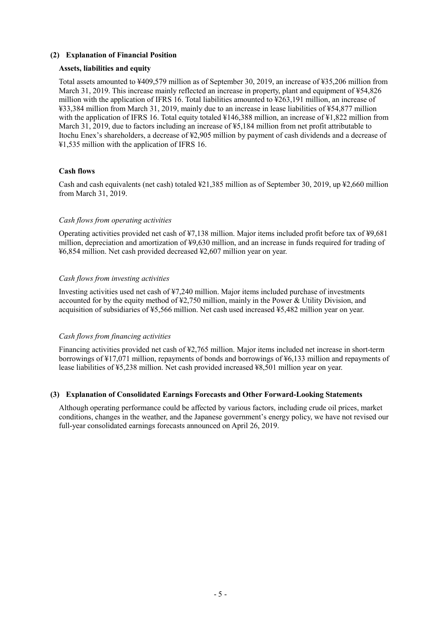### **(2) Explanation of Financial Position**

#### **Assets, liabilities and equity**

Total assets amounted to ¥409,579 million as of September 30, 2019, an increase of ¥35,206 million from March 31, 2019. This increase mainly reflected an increase in property, plant and equipment of ¥54,826 million with the application of IFRS 16. Total liabilities amounted to ¥263,191 million, an increase of ¥33,384 million from March 31, 2019, mainly due to an increase in lease liabilities of ¥54,877 million with the application of IFRS 16. Total equity totaled ¥146,388 million, an increase of ¥1,822 million from March 31, 2019, due to factors including an increase of ¥5,184 million from net profit attributable to Itochu Enex's shareholders, a decrease of ¥2,905 million by payment of cash dividends and a decrease of ¥1,535 million with the application of IFRS 16.

#### **Cash flows**

Cash and cash equivalents (net cash) totaled ¥21,385 million as of September 30, 2019, up ¥2,660 million from March 31, 2019.

#### *Cash flows from operating activities*

Operating activities provided net cash of ¥7,138 million. Major items included profit before tax of ¥9,681 million, depreciation and amortization of ¥9,630 million, and an increase in funds required for trading of ¥6,854 million. Net cash provided decreased ¥2,607 million year on year.

#### *Cash flows from investing activities*

Investing activities used net cash of ¥7,240 million. Major items included purchase of investments accounted for by the equity method of ¥2,750 million, mainly in the Power & Utility Division, and acquisition of subsidiaries of ¥5,566 million. Net cash used increased ¥5,482 million year on year.

#### *Cash flows from financing activities*

Financing activities provided net cash of ¥2,765 million. Major items included net increase in short-term borrowings of ¥17,071 million, repayments of bonds and borrowings of ¥6,133 million and repayments of lease liabilities of ¥5,238 million. Net cash provided increased ¥8,501 million year on year.

### **(3) Explanation of Consolidated Earnings Forecasts and Other Forward-Looking Statements**

Although operating performance could be affected by various factors, including crude oil prices, market conditions, changes in the weather, and the Japanese government's energy policy, we have not revised our full-year consolidated earnings forecasts announced on April 26, 2019.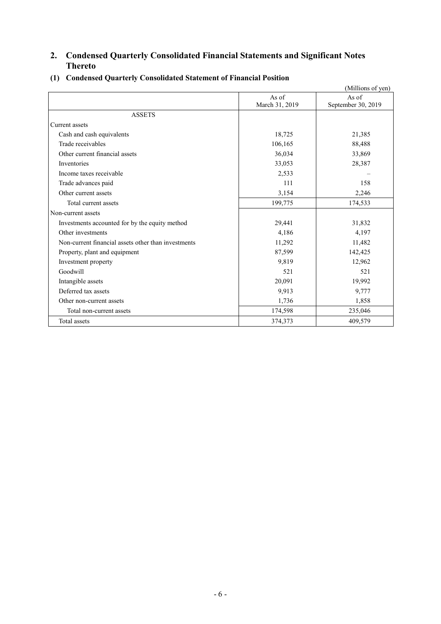# **2. Condensed Quarterly Consolidated Financial Statements and Significant Notes Thereto**

|                                                     |                | (Millions of yen)  |
|-----------------------------------------------------|----------------|--------------------|
|                                                     | As of          | As of              |
|                                                     | March 31, 2019 | September 30, 2019 |
| <b>ASSETS</b>                                       |                |                    |
| Current assets                                      |                |                    |
| Cash and cash equivalents                           | 18,725         | 21,385             |
| Trade receivables                                   | 106,165        | 88,488             |
| Other current financial assets                      | 36,034         | 33,869             |
| Inventories                                         | 33,053         | 28,387             |
| Income taxes receivable                             | 2,533          |                    |
| Trade advances paid                                 | 111            | 158                |
| Other current assets                                | 3,154          | 2,246              |
| Total current assets                                | 199,775        | 174,533            |
| Non-current assets                                  |                |                    |
| Investments accounted for by the equity method      | 29,441         | 31,832             |
| Other investments                                   | 4,186          | 4,197              |
| Non-current financial assets other than investments | 11,292         | 11,482             |
| Property, plant and equipment                       | 87,599         | 142,425            |
| Investment property                                 | 9,819          | 12,962             |
| Goodwill                                            | 521            | 521                |
| Intangible assets                                   | 20,091         | 19,992             |
| Deferred tax assets                                 | 9,913          | 9,777              |
| Other non-current assets                            | 1,736          | 1,858              |
| Total non-current assets                            | 174,598        | 235,046            |
| Total assets                                        | 374,373        | 409,579            |

# **(1) Condensed Quarterly Consolidated Statement of Financial Position**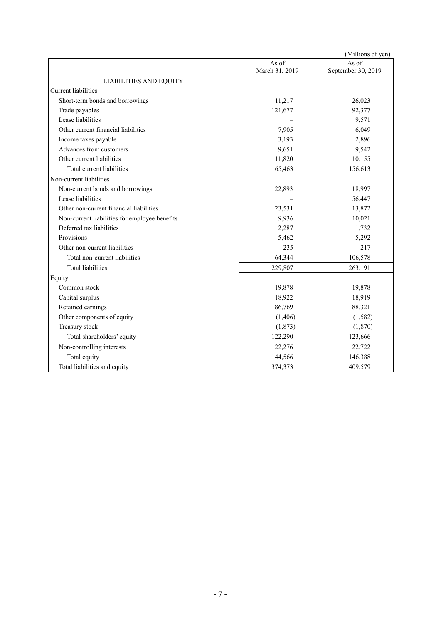|                                               |                         | (Millions of yen)           |
|-----------------------------------------------|-------------------------|-----------------------------|
|                                               | As of<br>March 31, 2019 | As of<br>September 30, 2019 |
| <b>LIABILITIES AND EQUITY</b>                 |                         |                             |
| <b>Current liabilities</b>                    |                         |                             |
| Short-term bonds and borrowings               | 11,217                  | 26,023                      |
| Trade payables                                | 121,677                 | 92,377                      |
| Lease liabilities                             |                         | 9,571                       |
| Other current financial liabilities           | 7,905                   | 6,049                       |
| Income taxes payable                          | 3,193                   | 2,896                       |
| Advances from customers                       | 9,651                   | 9,542                       |
| Other current liabilities                     | 11,820                  | 10,155                      |
| Total current liabilities                     | 165,463                 | 156,613                     |
| Non-current liabilities                       |                         |                             |
| Non-current bonds and borrowings              | 22,893                  | 18,997                      |
| Lease liabilities                             |                         | 56,447                      |
| Other non-current financial liabilities       | 23,531                  | 13,872                      |
| Non-current liabilities for employee benefits | 9,936                   | 10,021                      |
| Deferred tax liabilities                      | 2,287                   | 1,732                       |
| Provisions                                    | 5,462                   | 5,292                       |
| Other non-current liabilities                 | 235                     | 217                         |
| Total non-current liabilities                 | 64,344                  | 106,578                     |
| <b>Total liabilities</b>                      | 229,807                 | 263,191                     |
| Equity                                        |                         |                             |
| Common stock                                  | 19,878                  | 19,878                      |
| Capital surplus                               | 18,922                  | 18,919                      |
| Retained earnings                             | 86,769                  | 88,321                      |
| Other components of equity                    | (1,406)                 | (1,582)                     |
| Treasury stock                                | (1,873)                 | (1,870)                     |
| Total shareholders' equity                    | 122,290                 | 123,666                     |
| Non-controlling interests                     | 22,276                  | 22,722                      |
| Total equity                                  | 144,566                 | 146,388                     |
| Total liabilities and equity                  | 374,373                 | 409,579                     |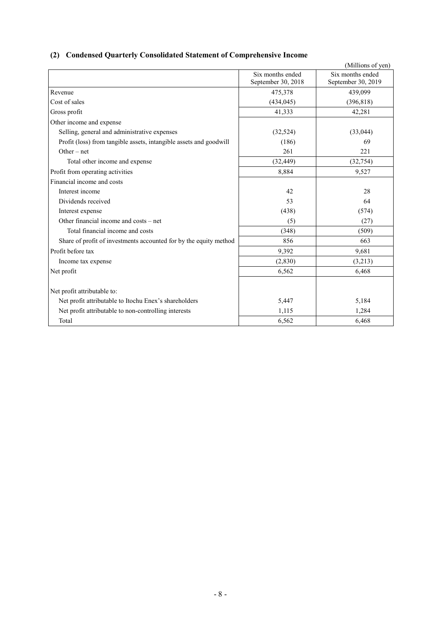# **(2) Condensed Quarterly Consolidated Statement of Comprehensive Income**

|                                                                    |                                        | (Millions of yen)                      |
|--------------------------------------------------------------------|----------------------------------------|----------------------------------------|
|                                                                    | Six months ended<br>September 30, 2018 | Six months ended<br>September 30, 2019 |
| Revenue                                                            | 475,378                                | 439,099                                |
| Cost of sales                                                      | (434, 045)                             | (396, 818)                             |
| Gross profit                                                       | 41,333                                 | 42,281                                 |
| Other income and expense                                           |                                        |                                        |
| Selling, general and administrative expenses                       | (32,524)                               | (33,044)                               |
| Profit (loss) from tangible assets, intangible assets and goodwill | (186)                                  | 69                                     |
| Other $-$ net                                                      | 261                                    | 221                                    |
| Total other income and expense                                     | (32, 449)                              | (32,754)                               |
| Profit from operating activities                                   | 8,884                                  | 9,527                                  |
| Financial income and costs                                         |                                        |                                        |
| Interest income                                                    | 42                                     | 28                                     |
| Dividends received                                                 | 53                                     | 64                                     |
| Interest expense                                                   | (438)                                  | (574)                                  |
| Other financial income and costs – net                             | (5)                                    | (27)                                   |
| Total financial income and costs                                   | (348)                                  | (509)                                  |
| Share of profit of investments accounted for by the equity method  | 856                                    | 663                                    |
| Profit before tax                                                  | 9,392                                  | 9,681                                  |
| Income tax expense                                                 | (2,830)                                | (3,213)                                |
| Net profit                                                         | 6,562                                  | 6,468                                  |
| Net profit attributable to:                                        |                                        |                                        |
| Net profit attributable to Itochu Enex's shareholders              | 5,447                                  | 5,184                                  |
| Net profit attributable to non-controlling interests               | 1,115                                  | 1,284                                  |
| Total                                                              | 6,562                                  | 6,468                                  |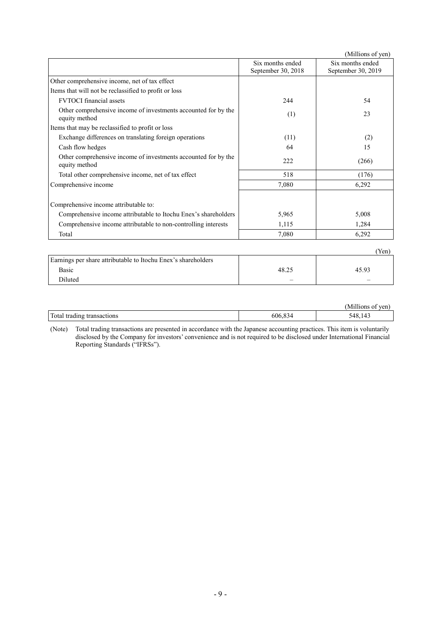|                                                                                 |                                        | (Millions of yen)                      |
|---------------------------------------------------------------------------------|----------------------------------------|----------------------------------------|
|                                                                                 | Six months ended<br>September 30, 2018 | Six months ended<br>September 30, 2019 |
| Other comprehensive income, net of tax effect                                   |                                        |                                        |
| Items that will not be reclassified to profit or loss                           |                                        |                                        |
| <b>FVTOCI</b> financial assets                                                  | 244                                    | 54                                     |
| Other comprehensive income of investments accounted for by the<br>equity method | (1)                                    | 23                                     |
| Items that may be reclassified to profit or loss                                |                                        |                                        |
| Exchange differences on translating foreign operations                          | (11)                                   | (2)                                    |
| Cash flow hedges                                                                | 64                                     | 15                                     |
| Other comprehensive income of investments accounted for by the<br>equity method | 222                                    | (266)                                  |
| Total other comprehensive income, net of tax effect                             | 518                                    | (176)                                  |
| Comprehensive income                                                            | 7,080                                  | 6,292                                  |
| Comprehensive income attributable to:                                           |                                        |                                        |
| Comprehensive income attributable to Itochu Enex's shareholders                 | 5,965                                  | 5,008                                  |
| Comprehensive income attributable to non-controlling interests                  | 1,115                                  | 1,284                                  |
| Total                                                                           | 7,080                                  | 6,292                                  |
|                                                                                 |                                        | (Yen)                                  |
|                                                                                 |                                        |                                        |

| Earnings per share attributable to Itochu Enex's shareholders |                                |                          |
|---------------------------------------------------------------|--------------------------------|--------------------------|
| Basic                                                         | 48.25                          | 45.93                    |
| <b>Diluted</b>                                                | $\qquad \qquad \longleftarrow$ | $\overline{\phantom{0}}$ |

|                                                            |             | - -----<br>Mil<br>ven<br>10ns |
|------------------------------------------------------------|-------------|-------------------------------|
| Total<br>transactions<br>tradıng<br>------ <i>----</i> --- | 606.<br>-44 | ⊸⊿ ∾<br>, 4<br>−г∪.<br>1 I J  |

(Note) Total trading transactions are presented in accordance with the Japanese accounting practices. This item is voluntarily disclosed by the Company for investors' convenience and is not required to be disclosed under International Financial Reporting Standards ("IFRSs").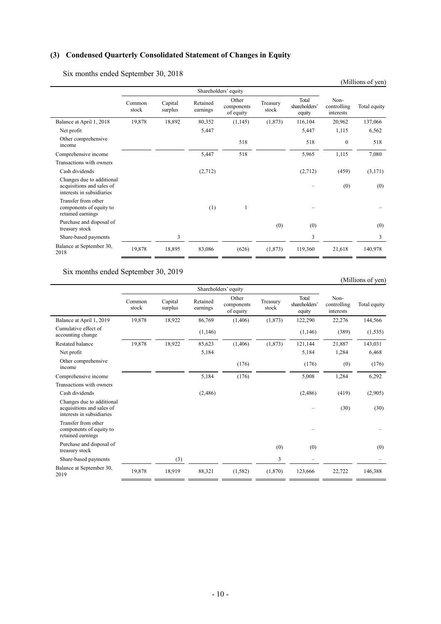# **(3) Condensed Quarterly Consolidated Statement of Changes in Equity**

Six months ended September 30, 2018

| $\overline{\text{S1X}}$ inomis ended september 30, 2018                             |                 |                    |                      |                                  |                   |                                  |                                  | (Millions of yen) |
|-------------------------------------------------------------------------------------|-----------------|--------------------|----------------------|----------------------------------|-------------------|----------------------------------|----------------------------------|-------------------|
|                                                                                     |                 |                    |                      | Shareholders' equity             |                   |                                  |                                  |                   |
|                                                                                     | Common<br>stock | Capital<br>surplus | Retained<br>earnings | Other<br>components<br>of equity | Treasury<br>stock | Total<br>shareholders'<br>equity | Non-<br>controlling<br>interests | Total equity      |
| Balance at April 1, 2018                                                            | 19,878          | 18,892             | 80,352               | (1,145)                          | (1,873)           | 116,104                          | 20,962                           | 137,066           |
| Net profit                                                                          |                 |                    | 5,447                |                                  |                   | 5,447                            | 1,115                            | 6,562             |
| Other comprehensive<br>income                                                       |                 |                    |                      | 518                              |                   | 518                              | $\mathbf{0}$                     | 518               |
| Comprehensive income                                                                |                 |                    | 5,447                | 518                              |                   | 5,965                            | 1,115                            | 7,080             |
| Transactions with owners                                                            |                 |                    |                      |                                  |                   |                                  |                                  |                   |
| Cash dividends                                                                      |                 |                    | (2,712)              |                                  |                   | (2,712)                          | (459)                            | (3,171)           |
| Changes due to additional<br>acquisitions and sales of<br>interests in subsidiaries |                 |                    |                      |                                  |                   |                                  | (0)                              | (0)               |
| Transfer from other<br>components of equity to<br>retained earnings                 |                 |                    | (1)                  | 1                                |                   |                                  |                                  |                   |
| Purchase and disposal of<br>treasury stock                                          |                 |                    |                      |                                  | (0)               | (0)                              |                                  | (0)               |
| Share-based payments                                                                |                 | 3                  |                      |                                  |                   | 3                                |                                  | 3                 |
| Balance at September 30,<br>2018                                                    | 19,878          | 18,895             | 83,086               | (626)                            | (1,873)           | 119,360                          | 21,618                           | 140,978           |

Six months ended September 30, 2019

# (Millions of yen)

|                                                                                     | Shareholders' equity |                    |                      |                                  |                   |                                  |                                  |              |
|-------------------------------------------------------------------------------------|----------------------|--------------------|----------------------|----------------------------------|-------------------|----------------------------------|----------------------------------|--------------|
|                                                                                     | Common<br>stock      | Capital<br>surplus | Retained<br>earnings | Other<br>components<br>of equity | Treasury<br>stock | Total<br>shareholders'<br>equity | Non-<br>controlling<br>interests | Total equity |
| Balance at April 1, 2019                                                            | 19,878               | 18,922             | 86,769               | (1,406)                          | (1,873)           | 122,290                          | 22,276                           | 144,566      |
| Cumulative effect of<br>accounting change                                           |                      |                    | (1,146)              |                                  |                   | (1,146)                          | (389)                            | (1,535)      |
| Restated balance                                                                    | 19,878               | 18,922             | 85,623               | (1,406)                          | (1,873)           | 121,144                          | 21,887                           | 143,031      |
| Net profit                                                                          |                      |                    | 5,184                |                                  |                   | 5,184                            | 1,284                            | 6,468        |
| Other comprehensive<br>income                                                       |                      |                    |                      | (176)                            |                   | (176)                            | (0)                              | (176)        |
| Comprehensive income                                                                |                      |                    | 5,184                | (176)                            |                   | 5,008                            | 1,284                            | 6,292        |
| Transactions with owners                                                            |                      |                    |                      |                                  |                   |                                  |                                  |              |
| Cash dividends                                                                      |                      |                    | (2,486)              |                                  |                   | (2,486)                          | (419)                            | (2,905)      |
| Changes due to additional<br>acquisitions and sales of<br>interests in subsidiaries |                      |                    |                      |                                  |                   |                                  | (30)                             | (30)         |
| Transfer from other<br>components of equity to<br>retained earnings                 |                      |                    |                      |                                  |                   |                                  |                                  |              |
| Purchase and disposal of<br>treasury stock                                          |                      |                    |                      |                                  | (0)               | (0)                              |                                  | (0)          |
| Share-based payments                                                                |                      | (3)                |                      |                                  | $\overline{3}$    |                                  |                                  |              |
| Balance at September 30,<br>2019                                                    | 19,878               | 18,919             | 88,321               | (1,582)                          | (1,870)           | 123,666                          | 22,722                           | 146,388      |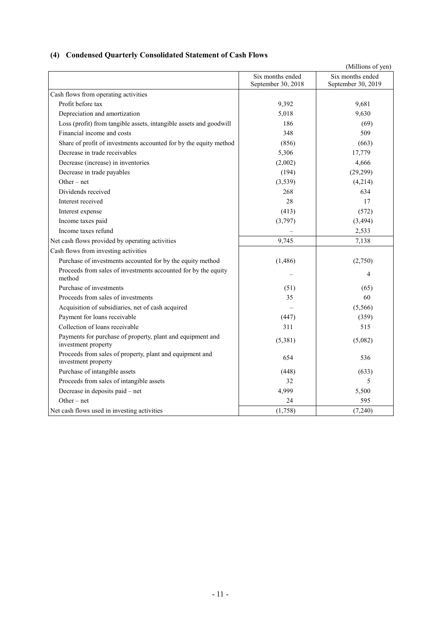# **(4) Condensed Quarterly Consolidated Statement of Cash Flows**

|                                                                                   |                                        | (Millions of yen)                      |
|-----------------------------------------------------------------------------------|----------------------------------------|----------------------------------------|
|                                                                                   | Six months ended<br>September 30, 2018 | Six months ended<br>September 30, 2019 |
| Cash flows from operating activities                                              |                                        |                                        |
| Profit before tax                                                                 | 9,392                                  | 9,681                                  |
| Depreciation and amortization                                                     | 5,018                                  | 9,630                                  |
| Loss (profit) from tangible assets, intangible assets and goodwill                | 186                                    | (69)                                   |
| Financial income and costs                                                        | 348                                    | 509                                    |
| Share of profit of investments accounted for by the equity method                 | (856)                                  | (663)                                  |
| Decrease in trade receivables                                                     | 5,306                                  | 17,779                                 |
| Decrease (increase) in inventories                                                | (2,002)                                | 4,666                                  |
| Decrease in trade payables                                                        | (194)                                  | (29, 299)                              |
| Other $-$ net                                                                     | (3, 539)                               | (4,214)                                |
| Dividends received                                                                | 268                                    | 634                                    |
| Interest received                                                                 | 28                                     | 17                                     |
| Interest expense                                                                  | (413)                                  | (572)                                  |
| Income taxes paid                                                                 | (3,797)                                | (3, 494)                               |
| Income taxes refund                                                               |                                        | 2,533                                  |
| Net cash flows provided by operating activities                                   | 9,745                                  | 7,138                                  |
| Cash flows from investing activities                                              |                                        |                                        |
| Purchase of investments accounted for by the equity method                        | (1, 486)                               | (2,750)                                |
| Proceeds from sales of investments accounted for by the equity<br>method          |                                        | 4                                      |
| Purchase of investments                                                           | (51)                                   | (65)                                   |
| Proceeds from sales of investments                                                | 35                                     | 60                                     |
| Acquisition of subsidiaries, net of cash acquired                                 |                                        | (5,566)                                |
| Payment for loans receivable                                                      | (447)                                  | (359)                                  |
| Collection of loans receivable                                                    | 311                                    | 515                                    |
| Payments for purchase of property, plant and equipment and<br>investment property | (5,381)                                | (5,082)                                |
| Proceeds from sales of property, plant and equipment and<br>investment property   | 654                                    | 536                                    |
| Purchase of intangible assets                                                     | (448)                                  | (633)                                  |
| Proceeds from sales of intangible assets                                          | 32                                     | 5                                      |
| Decrease in deposits paid - net                                                   | 4,999                                  | 5,500                                  |
| $Other - net$                                                                     | 24                                     | 595                                    |
| Net cash flows used in investing activities                                       | (1,758)                                | (7,240)                                |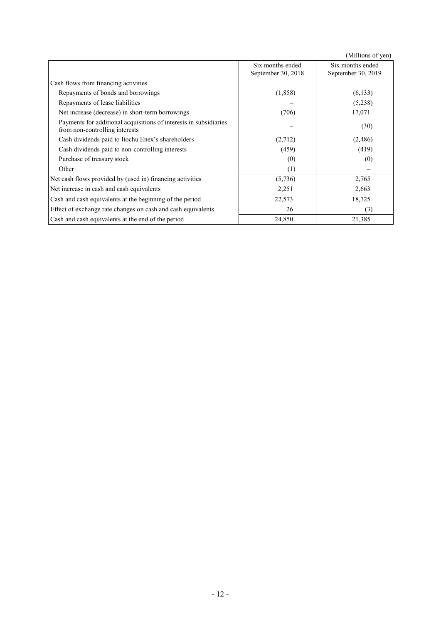|                                                                                                     |                                        | (Millions of yen)                      |
|-----------------------------------------------------------------------------------------------------|----------------------------------------|----------------------------------------|
|                                                                                                     | Six months ended<br>September 30, 2018 | Six months ended<br>September 30, 2019 |
| Cash flows from financing activities                                                                |                                        |                                        |
| Repayments of bonds and borrowings                                                                  | (1,858)                                | (6,133)                                |
| Repayments of lease liabilities                                                                     |                                        | (5,238)                                |
| Net increase (decrease) in short-term borrowings                                                    | (706)                                  | 17,071                                 |
| Payments for additional acquisitions of interests in subsidiaries<br>from non-controlling interests |                                        | (30)                                   |
| Cash dividends paid to Itochu Enex's shareholders                                                   | (2,712)                                | (2, 486)                               |
| Cash dividends paid to non-controlling interests                                                    | (459)                                  | (419)                                  |
| Purchase of treasury stock                                                                          | (0)                                    | (0)                                    |
| Other                                                                                               | (1)                                    |                                        |
| Net cash flows provided by (used in) financing activities                                           | (5,736)                                | 2,765                                  |
| Net increase in cash and cash equivalents                                                           | 2,251                                  | 2,663                                  |
| Cash and cash equivalents at the beginning of the period                                            | 22,573                                 | 18,725                                 |
| Effect of exchange rate changes on cash and cash equivalents                                        | 26                                     | (3)                                    |
| Cash and cash equivalents at the end of the period                                                  | 24,850                                 | 21,385                                 |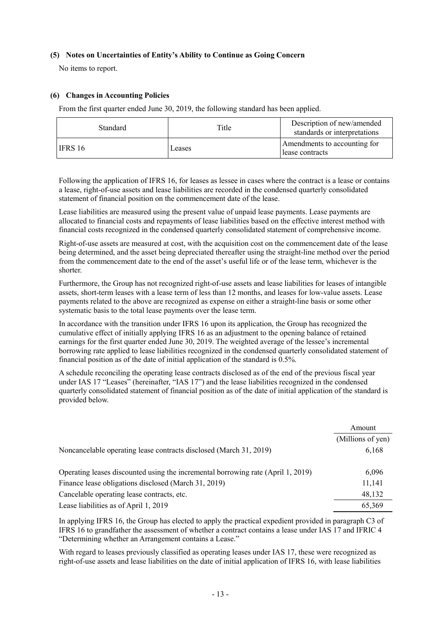### **(5) Notes on Uncertainties of Entity's Ability to Continue as Going Concern**

No items to report.

# **(6) Changes in Accounting Policies**

From the first quarter ended June 30, 2019, the following standard has been applied.

| Standard | Title  | Description of new/amended<br>standards or interpretations |
|----------|--------|------------------------------------------------------------|
| LIFRS 16 | Leases | Amendments to accounting for<br>lease contracts            |

Following the application of IFRS 16, for leases as lessee in cases where the contract is a lease or contains a lease, right-of-use assets and lease liabilities are recorded in the condensed quarterly consolidated statement of financial position on the commencement date of the lease.

Lease liabilities are measured using the present value of unpaid lease payments. Lease payments are allocated to financial costs and repayments of lease liabilities based on the effective interest method with financial costs recognized in the condensed quarterly consolidated statement of comprehensive income.

Right-of-use assets are measured at cost, with the acquisition cost on the commencement date of the lease being determined, and the asset being depreciated thereafter using the straight-line method over the period from the commencement date to the end of the asset's useful life or of the lease term, whichever is the shorter.

Furthermore, the Group has not recognized right-of-use assets and lease liabilities for leases of intangible assets, short-term leases with a lease term of less than 12 months, and leases for low-value assets. Lease payments related to the above are recognized as expense on either a straight-line basis or some other systematic basis to the total lease payments over the lease term.

In accordance with the transition under IFRS 16 upon its application, the Group has recognized the cumulative effect of initially applying IFRS 16 as an adjustment to the opening balance of retained earnings for the first quarter ended June 30, 2019. The weighted average of the lessee's incremental borrowing rate applied to lease liabilities recognized in the condensed quarterly consolidated statement of financial position as of the date of initial application of the standard is 0.5%.

A schedule reconciling the operating lease contracts disclosed as of the end of the previous fiscal year under IAS 17 "Leases" (hereinafter, "IAS 17") and the lease liabilities recognized in the condensed quarterly consolidated statement of financial position as of the date of initial application of the standard is provided below.

|                                                                                  | Amount            |
|----------------------------------------------------------------------------------|-------------------|
|                                                                                  | (Millions of yen) |
| Noncancelable operating lease contracts disclosed (March 31, 2019)               | 6,168             |
| Operating leases discounted using the incremental borrowing rate (April 1, 2019) | 6,096             |
| Finance lease obligations disclosed (March 31, 2019)                             | 11,141            |
| Cancelable operating lease contracts, etc.                                       | 48,132            |
| Lease liabilities as of April 1, 2019                                            | 65,369            |

In applying IFRS 16, the Group has elected to apply the practical expedient provided in paragraph C3 of IFRS 16 to grandfather the assessment of whether a contract contains a lease under IAS 17 and IFRIC 4 "Determining whether an Arrangement contains a Lease."

With regard to leases previously classified as operating leases under IAS 17, these were recognized as right-of-use assets and lease liabilities on the date of initial application of IFRS 16, with lease liabilities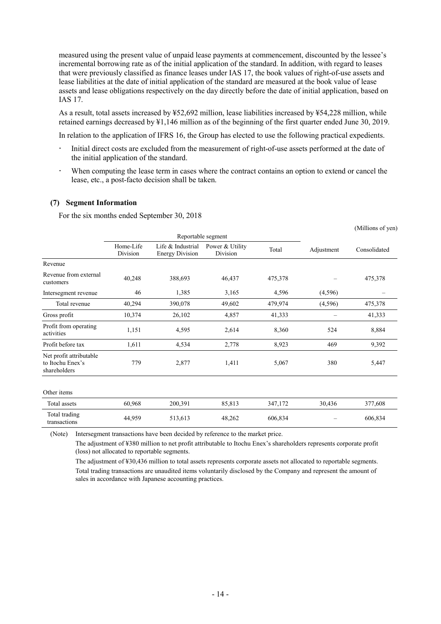measured using the present value of unpaid lease payments at commencement, discounted by the lessee's incremental borrowing rate as of the initial application of the standard. In addition, with regard to leases that were previously classified as finance leases under IAS 17, the book values of right-of-use assets and lease liabilities at the date of initial application of the standard are measured at the book value of lease assets and lease obligations respectively on the day directly before the date of initial application, based on IAS 17.

As a result, total assets increased by ¥52,692 million, lease liabilities increased by ¥54,228 million, while retained earnings decreased by ¥1,146 million as of the beginning of the first quarter ended June 30, 2019.

In relation to the application of IFRS 16, the Group has elected to use the following practical expedients.

- Initial direct costs are excluded from the measurement of right-of-use assets performed at the date of the initial application of the standard.
- When computing the lease term in cases where the contract contains an option to extend or cancel the lease, etc., a post-facto decision shall be taken.

(Millions of yen)

#### **(7) Segment Information**

For the six months ended September 30, 2018

|                                                             |                       | Reportable segment                          |                             |         |            |              |
|-------------------------------------------------------------|-----------------------|---------------------------------------------|-----------------------------|---------|------------|--------------|
|                                                             | Home-Life<br>Division | Life & Industrial<br><b>Energy Division</b> | Power & Utility<br>Division | Total   | Adjustment | Consolidated |
| Revenue                                                     |                       |                                             |                             |         |            |              |
| Revenue from external<br>customers                          | 40,248                | 388,693                                     | 46,437                      | 475,378 |            | 475,378      |
| Intersegment revenue                                        | 46                    | 1,385                                       | 3,165                       | 4,596   | (4,596)    |              |
| Total revenue                                               | 40,294                | 390,078                                     | 49,602                      | 479,974 | (4,596)    | 475,378      |
| Gross profit                                                | 10,374                | 26,102                                      | 4,857                       | 41,333  |            | 41,333       |
| Profit from operating<br>activities                         | 1,151                 | 4,595                                       | 2,614                       | 8,360   | 524        | 8,884        |
| Profit before tax                                           | 1,611                 | 4,534                                       | 2,778                       | 8,923   | 469        | 9,392        |
| Net profit attributable<br>to Itochu Enex's<br>shareholders | 779                   | 2,877                                       | 1,411                       | 5,067   | 380        | 5,447        |
| Other items                                                 |                       |                                             |                             |         |            |              |
| Total assets                                                | 60,968                | 200,391                                     | 85,813                      | 347,172 | 30,436     | 377,608      |
| Total trading<br>transactions                               | 44,959                | 513,613                                     | 48,262                      | 606,834 |            | 606,834      |

(Note) Intersegment transactions have been decided by reference to the market price.

The adjustment of ¥380 million to net profit attributable to Itochu Enex's shareholders represents corporate profit (loss) not allocated to reportable segments.

The adjustment of ¥30,436 million to total assets represents corporate assets not allocated to reportable segments. Total trading transactions are unaudited items voluntarily disclosed by the Company and represent the amount of sales in accordance with Japanese accounting practices.